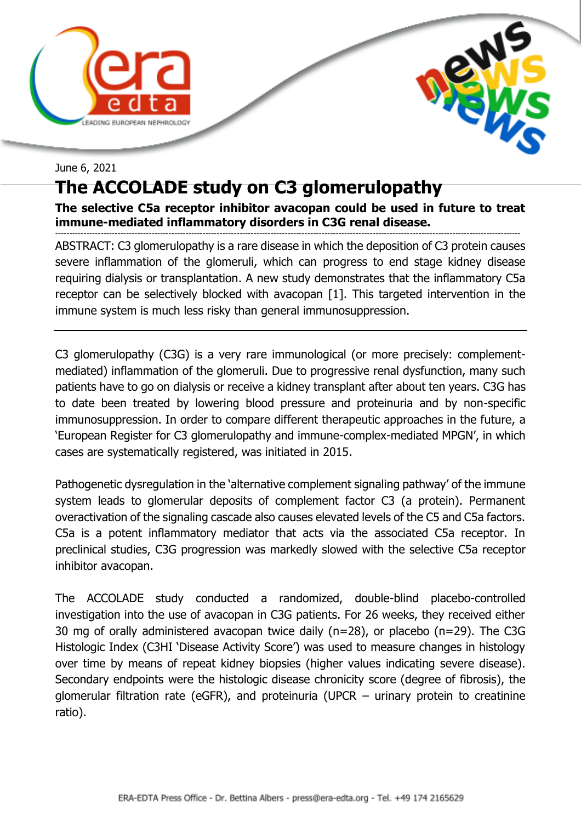



## June 6, 2021 **The ACCOLADE study on C3 glomerulopathy**

## **The selective C5a receptor inhibitor avacopan could be used in future to treat immune-mediated inflammatory disorders in C3G renal disease.**

-------------------------------------------------------------------------------------------------------------------------------------------------------------------- ABSTRACT: C3 glomerulopathy is a rare disease in which the deposition of C3 protein causes severe inflammation of the glomeruli, which can progress to end stage kidney disease requiring dialysis or transplantation. A new study demonstrates that the inflammatory C5a receptor can be selectively blocked with avacopan [1]. This targeted intervention in the immune system is much less risky than general immunosuppression.

C3 glomerulopathy (C3G) is a very rare immunological (or more precisely: complementmediated) inflammation of the glomeruli. Due to progressive renal dysfunction, many such patients have to go on dialysis or receive a kidney transplant after about ten years. C3G has to date been treated by lowering blood pressure and proteinuria and by non-specific immunosuppression. In order to compare different therapeutic approaches in the future, a 'European Register for C3 glomerulopathy and immune-complex-mediated MPGN', in which cases are systematically registered, was initiated in 2015.

Pathogenetic dysregulation in the 'alternative complement signaling pathway' of the immune system leads to glomerular deposits of complement factor C3 (a protein). Permanent overactivation of the signaling cascade also causes elevated levels of the C5 and C5a factors. C5a is a potent inflammatory mediator that acts via the associated C5a receptor. In preclinical studies, C3G progression was markedly slowed with the selective C5a receptor inhibitor avacopan.

The ACCOLADE study conducted a randomized, double-blind placebo-controlled investigation into the use of avacopan in C3G patients. For 26 weeks, they received either 30 mg of orally administered avacopan twice daily (n=28), or placebo (n=29). The C3G Histologic Index (C3HI 'Disease Activity Score') was used to measure changes in histology over time by means of repeat kidney biopsies (higher values indicating severe disease). Secondary endpoints were the histologic disease chronicity score (degree of fibrosis), the glomerular filtration rate (eGFR), and proteinuria (UPCR – urinary protein to creatinine ratio).